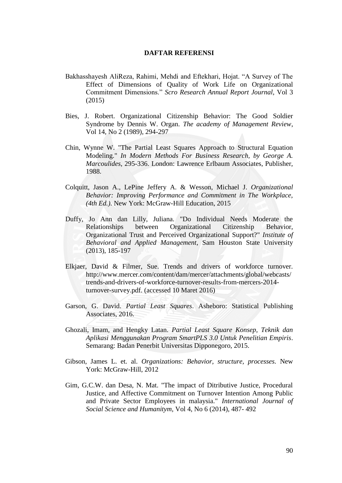## **DAFTAR REFERENSI**

- Bakhasshayesh AliReza, Rahimi, Mehdi and Eftekhari, Hojat. "A Survey of The Effect of Dimensions of Quality of Work Life on Organizational Commitment Dimensions." *Scro Research Annual Report Journal*, Vol 3 (2015)
- Bies, J. Robert. Organizational Citizenship Behavior: The Good Soldier Syndrome by Dennis W. Organ. *The academy of Management Review*, Vol 14, No 2 (1989), 294-297
- Chin, Wynne W. "The Partial Least Squares Approach to Structural Equation Modeling." *In Modern Methods For Business Research, by George A. Marcoulides*, 295-336. London: Lawrence Erlbaum Associates, Publisher, 1988.
- Colquitt, Jason A., LePine Jeffery A. & Wesson, Michael J. *Organizational Behavior: Improving Performance and Commitment in The Workplace, (4th Ed.)*. New York: McGraw-Hill Education, 2015
- Duffy, Jo Ann dan Lilly, Juliana. "Do Individual Needs Moderate the Relationships between Organizational Citizenship Behavior, Organizational Trust and Perceived Organizational Support?" *Institute of Behavioral and Applied Management*, Sam Houston State University (2013), 185-197
- Elkjaer, David & Filmer, Sue. Trends and drivers of workforce turnover. http://www.mercer.com/content/dam/mercer/attachments/global/webcasts/ trends-and-drivers-of-workforce-turnover-results-from-mercers-2014 turnover-survey.pdf. (accessed 10 Maret 2016)
- Garson, G. David. *Partial Least Squares*. Asheboro: Statistical Publishing Associates, 2016.
- Ghozali, Imam, and Hengky Latan. *Partial Least Square Konsep, Teknik dan Aplikasi Menggunakan Program SmartPLS 3.0 Untuk Penelitian Empiris*. Semarang: Badan Penerbit Universitas Dipponegoro, 2015.
- Gibson, James L. et. al. *Organizations: Behavior, structure, processes.* New York: McGraw-Hill, 2012
- Gim, G.C.W. dan Desa, N. Mat. "The impact of Ditributive Justice, Procedural Justice, and Affective Commitment on Turnover Intention Among Public and Private Sector Employees in malaysia." *International Journal of Social Science and Humanitym*, Vol 4, No 6 (2014), 487- 492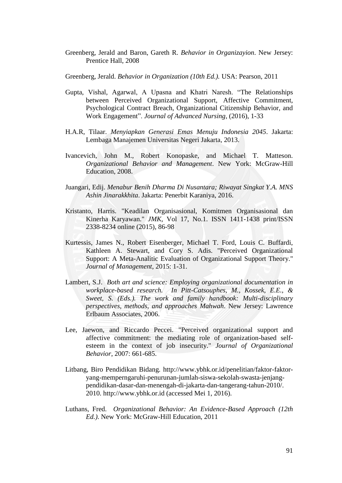Greenberg, Jerald and Baron, Gareth R. *Behavior in Organizayion*. New Jersey: Prentice Hall, 2008

Greenberg, Jerald. *Behavior in Organization (10th Ed.).* USA: Pearson, 2011

- Gupta, Vishal, Agarwal, A Upasna and Khatri Naresh. "The Relationships between Perceived Organizational Support, Affective Commitment, Psychological Contract Breach, Organizational Citizenship Behavior, and Work Engagement". *Journal of Advanced Nursing*, (2016), 1-33
- H.A.R, Tilaar. *Menyiapkan Generasi Emas Menuju Indonesia 2045*. Jakarta: Lembaga Manajemen Universitas Negeri Jakarta, 2013.
- Ivancevich, John M., Robert Konopaske, and Michael T. Matteson. *Organizational Behavior and Management*. New York: McGraw-Hill Education, 2008.
- Juangari, Edij. *Menabur Benih Dharma Di Nusantara; Riwayat Singkat Y.A. MNS Ashin Jinarakkhita*. Jakarta: Penerbit Karaniya, 2016.
- Kristanto, Harris. "Keadilan Organisasional, Komitmen Organisasional dan Kinerha Karyawan." *JMK*, Vol 17, No.1. ISSN 1411-1438 print/ISSN 2338-8234 online (2015), 86-98
- Kurtessis, James N., Robert Eisenberger, Michael T. Ford, Louis C. Buffardi, Kathleen A. Stewart, and Cory S. Adis. "Perceived Organizational Support: A Meta-Analitic Evaluation of Organizational Support Theory." *Journal of Management*, 2015: 1-31.
- Lambert, S.J. *Both art and science: Employing organizational documentation in workplace-based research. In Pitt-Catsouphes, M., Kossek, E.E., & Sweet, S. (Eds.). The work and family handbook: Multi-disciplinary perspectives, methods, and approaches Mahwah*. New Jersey: Lawrence Erlbaum Associates, 2006.
- Lee, Jaewon, and Riccardo Peccei. "Perceived organizational support and affective commitment: the mediating role of organization-based selfesteem in the context of job insecurity." *Journal of Organizational Behavior*, 2007: 661-685.
- Litbang, Biro Pendidikan Bidang. http://www.ybhk.or.id/penelitian/faktor-faktoryang-memperngaruhi-penurunan-jumlah-siswa-sekolah-swasta-jenjangpendidikan-dasar-dan-menengah-di-jakarta-dan-tangerang-tahun-2010/. 2010. http://www.ybhk.or.id (accessed Mei 1, 2016).
- Luthans, Fred. *Organizational Behavior: An Evidence-Based Approach (12th Ed.)*. New York: McGraw-Hill Education, 2011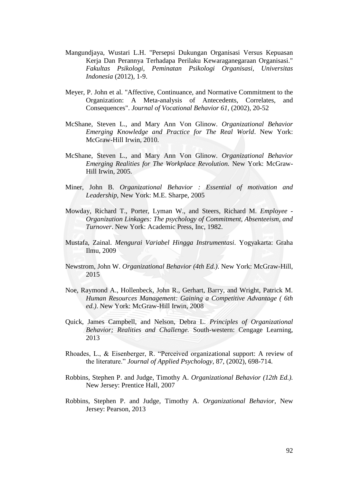- Mangundjaya, Wustari L.H. "Persepsi Dukungan Organisasi Versus Kepuasan Kerja Dan Perannya Terhadapa Perilaku Kewaraganegaraan Organisasi." *Fakultas Psikologi, Peminatan Psikologi Organisasi, Universitas Indonesia* (2012), 1-9.
- Meyer, P. John et al. "Affective, Continuance, and Normative Commitment to the Organization: A Meta-analysis of Antecedents, Correlates, and Consequences". *Journal of Vocational Behavior 61*, (2002), 20-52
- McShane, Steven L., and Mary Ann Von Glinow. *Organizational Behavior Emerging Knowledge and Practice for The Real World*. New York: McGraw-Hill Irwin, 2010.
- McShane, Steven L., and Mary Ann Von Glinow. *Organizational Behavior Emerging Realities for The Workplace Revolution.* New York: McGraw-Hill Irwin, 2005.
- Miner, John B. *Organizational Behavior : Essential of motivation and Leadership*, New York: M.E. Sharpe, 2005
- Mowday, Richard T., Porter, Lyman W., and Steers, Richard M. *Employee - Organization Linkages: The psychology of Commitment, Absenteeism, and Turnover*. New York: Academic Press, Inc, 1982.
- Mustafa, Zainal. *Mengurai Variabel Hingga Instrumentasi*. Yogyakarta: Graha Ilmu, 2009
- Newstrom, John W. *Organizational Behavior (4th Ed.)*. New York: McGraw-Hill, 2015
- Noe, Raymond A., Hollenbeck, John R., Gerhart, Barry, and Wright, Patrick M. *Human Resources Management: Gaining a Competitive Advantage ( 6th ed.)*. New York: McGraw-Hill Irwin, 2008
- Quick, James Campbell, and Nelson, Debra L. *Principles of Organizational Behavior; Realities and Challenge.* South-western: Cengage Learning, 2013
- Rhoades, L., & Eisenberger, R. "Perceived organizational support: A review of the literature." *Journal of Applied Psychology*, 87, (2002), 698-714.
- Robbins, Stephen P. and Judge, Timothy A. *Organizational Behavior (12th Ed.).* New Jersey: Prentice Hall, 2007
- Robbins, Stephen P. and Judge, Timothy A. *Organizational Behavior*, New Jersey: Pearson, 2013